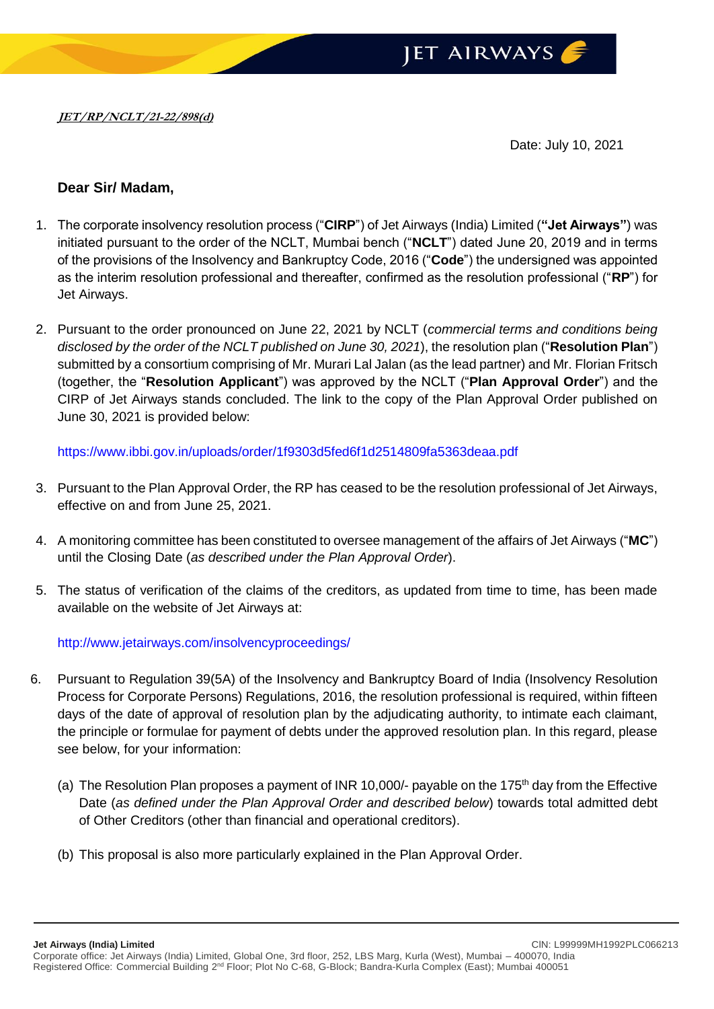

Date: July 10, 2021

## **Dear Sir/ Madam,**

- 1. The corporate insolvency resolution process ("**CIRP**") of Jet Airways (India) Limited (**"Jet Airways"**) was initiated pursuant to the order of the NCLT, Mumbai bench ("**NCLT**") dated June 20, 2019 and in terms of the provisions of the Insolvency and Bankruptcy Code, 2016 ("**Code**") the undersigned was appointed as the interim resolution professional and thereafter, confirmed as the resolution professional ("**RP**") for Jet Airways.
- 2. Pursuant to the order pronounced on June 22, 2021 by NCLT (*commercial terms and conditions being disclosed by the order of the NCLT published on June 30, 2021*), the resolution plan ("**Resolution Plan**") submitted by a consortium comprising of Mr. Murari Lal Jalan (as the lead partner) and Mr. Florian Fritsch (together, the "**Resolution Applicant**") was approved by the NCLT ("**Plan Approval Order**") and the CIRP of Jet Airways stands concluded. The link to the copy of the Plan Approval Order published on June 30, 2021 is provided below:

<https://www.ibbi.gov.in/uploads/order/1f9303d5fed6f1d2514809fa5363deaa.pdf>

- 3. Pursuant to the Plan Approval Order, the RP has ceased to be the resolution professional of Jet Airways, effective on and from June 25, 2021.
- 4. A monitoring committee has been constituted to oversee management of the affairs of Jet Airways ("**MC**") until the Closing Date (*as described under the Plan Approval Order*).
- 5. The status of verification of the claims of the creditors, as updated from time to time, has been made available on the website of Jet Airways at:

<http://www.jetairways.com/insolvencyproceedings/>

- 6. Pursuant to Regulation 39(5A) of the Insolvency and Bankruptcy Board of India (Insolvency Resolution Process for Corporate Persons) Regulations, 2016, the resolution professional is required, within fifteen days of the date of approval of resolution plan by the adjudicating authority, to intimate each claimant, the principle or formulae for payment of debts under the approved resolution plan. In this regard, please see below, for your information:
	- (a) The Resolution Plan proposes a payment of INR 10,000/- payable on the 175<sup>th</sup> day from the Effective Date (*as defined under the Plan Approval Order and described below*) towards total admitted debt of Other Creditors (other than financial and operational creditors).
	- (b) This proposal is also more particularly explained in the Plan Approval Order.